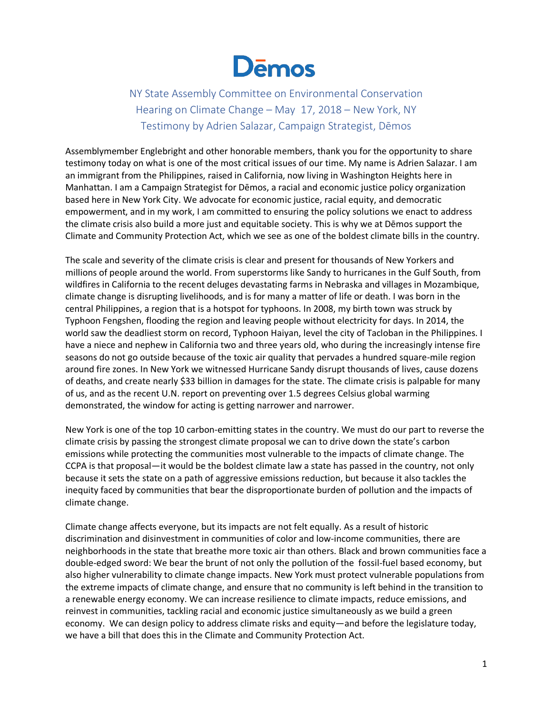

NY State Assembly Committee on Environmental Conservation Hearing on Climate Change – May 17, 2018 – New York, NY Testimony by Adrien Salazar, Campaign Strategist, Dēmos

Assemblymember Englebright and other honorable members, thank you for the opportunity to share testimony today on what is one of the most critical issues of our time. My name is Adrien Salazar. I am an immigrant from the Philippines, raised in California, now living in Washington Heights here in Manhattan. I am a Campaign Strategist for Dēmos, a racial and economic justice policy organization based here in New York City. We advocate for economic justice, racial equity, and democratic empowerment, and in my work, I am committed to ensuring the policy solutions we enact to address the climate crisis also build a more just and equitable society. This is why we at Dēmos support the Climate and Community Protection Act, which we see as one of the boldest climate bills in the country.

The scale and severity of the climate crisis is clear and present for thousands of New Yorkers and millions of people around the world. From superstorms like Sandy to hurricanes in the Gulf South, from wildfires in California to the recent deluges devastating farms in Nebraska and villages in Mozambique, climate change is disrupting livelihoods, and is for many a matter of life or death. I was born in the central Philippines, a region that is a hotspot for typhoons. In 2008, my birth town was struck by Typhoon Fengshen, flooding the region and leaving people without electricity for days. In 2014, the world saw the deadliest storm on record, Typhoon Haiyan, level the city of Tacloban in the Philippines. I have a niece and nephew in California two and three years old, who during the increasingly intense fire seasons do not go outside because of the toxic air quality that pervades a hundred square-mile region around fire zones. In New York we witnessed Hurricane Sandy disrupt thousands of lives, cause dozens of deaths, and create nearly \$33 billion in damages for the state. The climate crisis is palpable for many of us, and as the recent U.N. report on preventing over 1.5 degrees Celsius global warming demonstrated, the window for acting is getting narrower and narrower.

New York is one of the top 10 carbon-emitting states in the country. We must do our part to reverse the climate crisis by passing the strongest climate proposal we can to drive down the state's carbon emissions while protecting the communities most vulnerable to the impacts of climate change. The CCPA is that proposal—it would be the boldest climate law a state has passed in the country, not only because it sets the state on a path of aggressive emissions reduction, but because it also tackles the inequity faced by communities that bear the disproportionate burden of pollution and the impacts of climate change.

Climate change affects everyone, but its impacts are not felt equally. As a result of historic discrimination and disinvestment in communities of color and low-income communities, there are neighborhoods in the state that breathe more toxic air than others. Black and brown communities face a double-edged sword: We bear the brunt of not only the pollution of the fossil-fuel based economy, but also higher vulnerability to climate change impacts. New York must protect vulnerable populations from the extreme impacts of climate change, and ensure that no community is left behind in the transition to a renewable energy economy. We can increase resilience to climate impacts, reduce emissions, and reinvest in communities, tackling racial and economic justice simultaneously as we build a green economy. We can design policy to address climate risks and equity—and before the legislature today, we have a bill that does this in the Climate and Community Protection Act.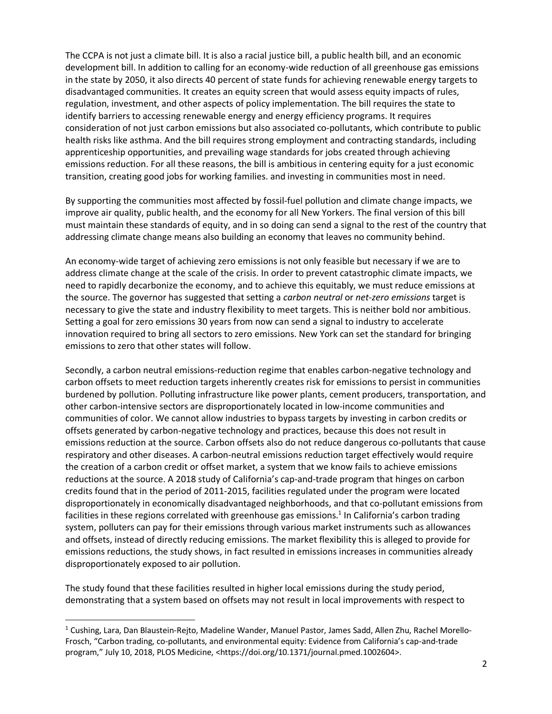The CCPA is not just a climate bill. It is also a racial justice bill, a public health bill, and an economic development bill. In addition to calling for an economy-wide reduction of all greenhouse gas emissions in the state by 2050, it also directs 40 percent of state funds for achieving renewable energy targets to disadvantaged communities. It creates an equity screen that would assess equity impacts of rules, regulation, investment, and other aspects of policy implementation. The bill requires the state to identify barriers to accessing renewable energy and energy efficiency programs. It requires consideration of not just carbon emissions but also associated co-pollutants, which contribute to public health risks like asthma. And the bill requires strong employment and contracting standards, including apprenticeship opportunities, and prevailing wage standards for jobs created through achieving emissions reduction. For all these reasons, the bill is ambitious in centering equity for a just economic transition, creating good jobs for working families. and investing in communities most in need.

By supporting the communities most affected by fossil-fuel pollution and climate change impacts, we improve air quality, public health, and the economy for all New Yorkers. The final version of this bill must maintain these standards of equity, and in so doing can send a signal to the rest of the country that addressing climate change means also building an economy that leaves no community behind.

An economy-wide target of achieving zero emissions is not only feasible but necessary if we are to address climate change at the scale of the crisis. In order to prevent catastrophic climate impacts, we need to rapidly decarbonize the economy, and to achieve this equitably, we must reduce emissions at the source. The governor has suggested that setting a *carbon neutral* or *net-zero emissions* target is necessary to give the state and industry flexibility to meet targets. This is neither bold nor ambitious. Setting a goal for zero emissions 30 years from now can send a signal to industry to accelerate innovation required to bring all sectors to zero emissions. New York can set the standard for bringing emissions to zero that other states will follow.

Secondly, a carbon neutral emissions-reduction regime that enables carbon-negative technology and carbon offsets to meet reduction targets inherently creates risk for emissions to persist in communities burdened by pollution. Polluting infrastructure like power plants, cement producers, transportation, and other carbon-intensive sectors are disproportionately located in low-income communities and communities of color. We cannot allow industries to bypass targets by investing in carbon credits or offsets generated by carbon-negative technology and practices, because this does not result in emissions reduction at the source. Carbon offsets also do not reduce dangerous co-pollutants that cause respiratory and other diseases. A carbon-neutral emissions reduction target effectively would require the creation of a carbon credit or offset market, a system that we know fails to achieve emissions reductions at the source. A 2018 study of California's cap-and-trade program that hinges on carbon credits found that in the period of 2011-2015, facilities regulated under the program were located disproportionately in economically disadvantaged neighborhoods, and that co-pollutant emissions from facilities in these regions correlated with greenhouse gas emissions.<sup>1</sup> In California's carbon trading system, polluters can pay for their emissions through various market instruments such as allowances and offsets, instead of directly reducing emissions. The market flexibility this is alleged to provide for emissions reductions, the study shows, in fact resulted in emissions increases in communities already disproportionately exposed to air pollution.

The study found that these facilities resulted in higher local emissions during the study period, demonstrating that a system based on offsets may not result in local improvements with respect to

 <sup>1</sup> Cushing, Lara, Dan Blaustein-Rejto, Madeline Wander, Manuel Pastor, James Sadd, Allen Zhu, Rachel Morello-Frosch, "Carbon trading, co-pollutants, and environmental equity: Evidence from California's cap-and-trade program," July 10, 2018, PLOS Medicine, <https://doi.org/10.1371/journal.pmed.1002604>.